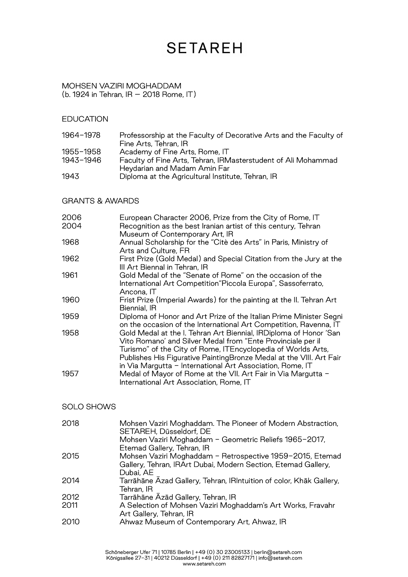#### MOHSEN VAZIRI MOGHADDAM (b. 1924 in Tehran, IR – 2018 Rome, IT)

### **EDUCATION**

| 1964-1978 | Professorship at the Faculty of Decorative Arts and the Faculty of |
|-----------|--------------------------------------------------------------------|
|           | Fine Arts, Tehran, IR                                              |
| 1955-1958 | Academy of Fine Arts, Rome, IT                                     |
| 1943-1946 | Faculty of Fine Arts, Tehran, IRMasterstudent of Ali Mohammad      |
|           | Heydarian and Madam Amin Far                                       |
| 1943      | Diploma at the Agricultural Institute, Tehran, IR                  |

### GRANTS & AWARDS

| 2006<br>2004 | European Character 2006, Prize from the City of Rome, IT<br>Recognition as the best Iranian artist of this century, Tehran<br>Museum of Contemporary Art, IR                                                                                                                                                                         |
|--------------|--------------------------------------------------------------------------------------------------------------------------------------------------------------------------------------------------------------------------------------------------------------------------------------------------------------------------------------|
| 1968         | Annual Scholarship for the "Citè des Arts" in Paris, Ministry of<br>Arts and Culture, FR                                                                                                                                                                                                                                             |
| 1962         | First Prize (Gold Medal) and Special Citation from the Jury at the<br>III Art Biennal in Tehran, IR                                                                                                                                                                                                                                  |
| 1961         | Gold Medal of the "Senate of Rome" on the occasion of the<br>International Art Competition"Piccola Europa", Sassoferrato,<br>Ancona, IT                                                                                                                                                                                              |
| 1960         | Frist Prize (Imperial Awards) for the painting at the II. Tehran Art<br>Biennial, IR                                                                                                                                                                                                                                                 |
| 1959         | Diploma of Honor and Art Prize of the Italian Prime Minister Segni<br>on the occasion of the International Art Competition, Ravenna, IT                                                                                                                                                                                              |
| 1958         | Gold Medal at the I. Tehran Art Biennial, IRDiploma of Honor 'San<br>Vito Romano' and Silver Medal from "Ente Provinciale per il<br>Turismo" of the City of Rome, ITEncyclopedia of Worlds Arts,<br>Publishes His Figurative PaintingBronze Medal at the VIII. Art Fair<br>in Via Margutta - International Art Association, Rome, IT |
| 1957         | Medal of Mayor of Rome at the VII. Art Fair in Via Margutta -<br>International Art Association, Rome, IT                                                                                                                                                                                                                             |

#### SOLO SHOWS

| 2018 | Mohsen Vaziri Moghaddam. The Pioneer of Modern Abstraction,<br>SETAREH, Düsseldorf, DE |
|------|----------------------------------------------------------------------------------------|
|      | Mohsen Vaziri Moghaddam - Geometric Reliefs 1965-2017,<br>Etemad Gallery, Tehran, IR   |
| 2015 | Mohsen Vaziri Moghaddam - Retrospective 1959-2015, Etemad                              |
|      | Gallery, Tehran, IRArt Dubai, Modern Section, Etemad Gallery,                          |
|      | Dubai, AE                                                                              |
| 2014 | Tarrāhāne Azad Gallery, Tehran, IRIntuition of color, Khāk Gallery,                    |
|      | Tehran, IR                                                                             |
| 2012 | Tarrāhāne Azād Gallery, Tehran, IR                                                     |
| 2011 | A Selection of Mohsen Vaziri Moghaddam's Art Works, Fravahr                            |
|      | Art Gallery, Tehran, IR                                                                |
| 2010 | Ahwaz Museum of Contemporary Art, Ahwaz, IR                                            |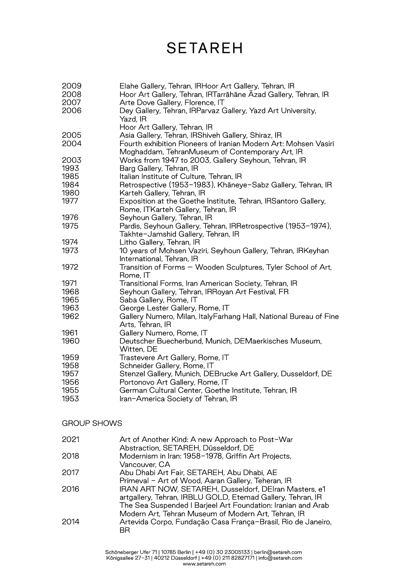| 2009<br>2008<br>2007 | Elahe Gallery, Tehran, IRHoor Art Gallery, Tehran, IR<br>Hoor Art Gallery, Tehran, IRTarrāhāne Azad Gallery, Tehran, IR<br>Arte Dove Gallery, Florence, IT               |
|----------------------|--------------------------------------------------------------------------------------------------------------------------------------------------------------------------|
| 2006                 | Dey Gallery, Tehran, IRParvaz Gallery, Yazd Art University,<br>Yazd, IR<br>Hoor Art Gallery, Tehran, IR                                                                  |
| 2005<br>2004         | Asia Gallery, Tehran, IRShiveh Gallery, Shiraz, IR<br>Fourth exhibition Pioneers of Iranian Modern Art: Mohsen Vasiri<br>Moghaddam, TehranMuseum of Contemporary Art, IR |
| 2003<br>1993         | Works from 1947 to 2003, Gallery Seyhoun, Tehran, IR<br>Barg Gallery, Tehran, IR                                                                                         |
| 1985<br>1984         | Italian Institute of Culture, Tehran, IR<br>Retrospective (1953-1983), Khāneye-Sabz Gallery, Tehran, IR                                                                  |
| 1980                 | Karteh Gallery, Tehran, IR                                                                                                                                               |
| 1977                 | Exposition at the Goethe Institute, Tehran, IRSantoro Gallery,<br>Rome, ITKarteh Gallery, Tehran, IR                                                                     |
| 1976<br>1975         | Seyhoun Gallery, Tehran, IR<br>Pardis, Seyhoun Gallery, Tehran, IRRetrospective (1953-1974),                                                                             |
|                      | Takhte-Jamshid Gallery, Tehran, IR                                                                                                                                       |
| 1974                 | Litho Gallery, Tehran, IR                                                                                                                                                |
| 1973                 | 10 years of Mohsen Vaziri, Seyhoun Gallery, Tehran, IRKeyhan<br>International, Tehran, IR                                                                                |
| 1972                 | Transition of Forms - Wooden Sculptures, Tyler School of Art,<br>Rome, IT                                                                                                |
| 1971                 | Transitional Forms, Iran American Society, Tehran, IR                                                                                                                    |
| 1968                 | Seyhoun Gallery, Tehran, IRRoyan Art Festival, FR                                                                                                                        |
| 1965                 | Saba Gallery, Rome, IT                                                                                                                                                   |
| 1963<br>1962         | George Lester Gallery, Rome, IT<br>Gallery Numero, Milan, ItalyFarhang Hall, National Bureau of Fine<br>Arts, Tehran, IR                                                 |
| 1961                 | Gallery Numero, Rome, IT                                                                                                                                                 |
| 1960                 | Deutscher Buecherbund, Munich, DEMaerkisches Museum,<br>Witten, DE                                                                                                       |
| 1959                 | Trastevere Art Gallery, Rome, IT                                                                                                                                         |
| 1958<br>1957         | Schneider Gallery, Rome, IT<br>Stenzel Gallery, Munich, DEBrucke Art Gallery, Dusseldorf, DE                                                                             |
| 1956                 | Portonovo Art Gallery, Rome, IT                                                                                                                                          |
| 1955                 | German Cultural Center, Goethe Institute, Tehran, IR                                                                                                                     |
| 1953                 | Iran-America Society of Tehran, IR                                                                                                                                       |
| <b>GROUP SHOWS</b>   |                                                                                                                                                                          |
| 2021                 | Art of Another Kind: A new Approach to Post-War<br>Ahstraction SFTARFH Düsseldorf DF                                                                                     |

Abstraction, SETAREH, Düsseldorf, DE 2018 Modernism in Iran: 1958-1978, Griffin Art Projects, Vancouver, CA 2017 Abu Dhabi Art Fair, SETAREH, Abu Dhabi, AE Primeval - Art of Wood, Aaran Gallery, Teheran, IR 2016 IRAN ART NOW, SETAREH, Dusseldorf, DEIran Masters, e1 artgallery, Tehran, IRBLU GOLD, Etemad Gallery, Tehran, IR The Sea Suspended I Barjeel Art Foundation: Iranian and Arab Modern Art, Tehran Museum of Modern Art, Tehran, IR 2014 Artevida Corpo, Fundação Casa França-Brasil, Rio de Janeiro, BR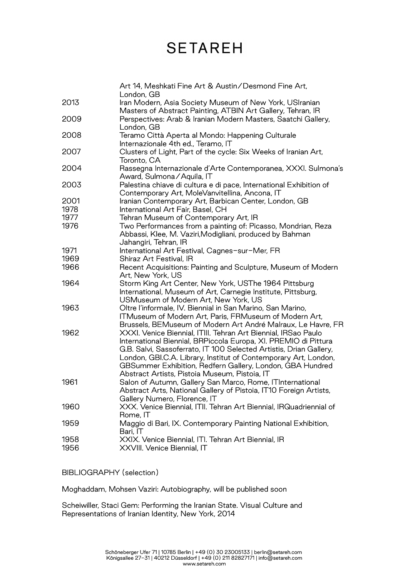|      | Art 14, Meshkati Fine Art & Austin/Desmond Fine Art,                                                                         |
|------|------------------------------------------------------------------------------------------------------------------------------|
| 2013 | London, GB<br>Iran Modern, Asia Society Museum of New York, USIranian                                                        |
| 2009 | Masters of Abstract Painting, ATBIN Art Gallery, Tehran, IR<br>Perspectives: Arab & Iranian Modern Masters, Saatchi Gallery, |
| 2008 | London, GB<br>Teramo Città Aperta al Mondo: Happening Culturale                                                              |
|      | Internazionale 4th ed., Teramo, IT                                                                                           |
| 2007 | Clusters of Light, Part of the cycle: Six Weeks of Iranian Art,<br>Toronto, CA                                               |
| 2004 | Rassegna Internazionale d'Arte Contemporanea, XXXI. Sulmona's<br>Award, Sulmona/Aquila, IT                                   |
| 2003 | Palestina chiave di cultura e di pace, International Exhibition of<br>Contemporary Art, MoleVanvitellina, Ancona, IT         |
| 2001 | Iranian Contemporary Art, Barbican Center, London, GB                                                                        |
| 1978 | International Art Fair, Basel, CH                                                                                            |
| 1977 | Tehran Museum of Contemporary Art, IR                                                                                        |
| 1976 | Two Performances from a painting of: Picasso, Mondrian, Reza                                                                 |
|      | Abbassi, Klee, M. Vaziri, Modigliani, produced by Bahman<br>Jahangiri, Tehran, IR                                            |
| 1971 | International Art Festival, Cagnes-sur-Mer, FR                                                                               |
| 1969 | Shiraz Art Festival, IR                                                                                                      |
| 1966 | Recent Acquisitions: Painting and Sculpture, Museum of Modern                                                                |
|      | Art, New York, US                                                                                                            |
| 1964 | Storm King Art Center, New York, USThe 1964 Pittsburg                                                                        |
|      | International, Museum of Art, Carnegie Institute, Pittsburg,<br>USMuseum of Modern Art, New York, US                         |
| 1963 | Oltre l'informale, IV. Biennial in San Marino, San Marino,                                                                   |
|      | ITMuseum of Modern Art, Paris, FRMuseum of Modern Art,<br>Brussels, BEMuseum of Modern Art André Malraux, Le Havre, FR       |
| 1962 | XXXI. Venice Biennial, ITIII. Tehran Art Biennial, IRSao Paulo                                                               |
|      | International Biennial, BRPiccola Europa, XI. PREMIO di Pittura                                                              |
|      | G.B. Salvi, Sassoferrato, IT 100 Selected Artistis, Drian Gallery,                                                           |
|      | London, GBI.C.A. Library, Institut of Contemporary Art, London,                                                              |
|      | GBSummer Exhibition, Redfern Gallery, London, GBA Hundred                                                                    |
|      | Abstract Artists, Pistoia Museum, Pistoia, IT                                                                                |
| 1961 | Salon of Autumn, Gallery San Marco, Rome, ITInternational                                                                    |
|      | Abstract Arts, National Gallery of Pistoia, IT10 Foreign Artists,                                                            |
|      | Gallery Numero, Florence, IT                                                                                                 |
| 1960 | XXX. Venice Biennial, ITII. Tehran Art Biennial, IRQuadriennial of                                                           |
|      | Rome, IT                                                                                                                     |
| 1959 | Maggio di Bari, IX. Contemporary Painting National Exhibition,<br>Bari, IT                                                   |
| 1958 | XXIX. Venice Biennial, ITI. Tehran Art Biennial, IR                                                                          |
| 1956 | XXVIII. Venice Biennial, IT                                                                                                  |
|      |                                                                                                                              |

BIBLIOGRAPHY (selection)

Moghaddam, Mohsen Vaziri: Autobiography, will be published soon

Scheiwiller, Staci Gem: Performing the Iranian State. Visual Culture and Representations of Iranian Identity, New York, 2014